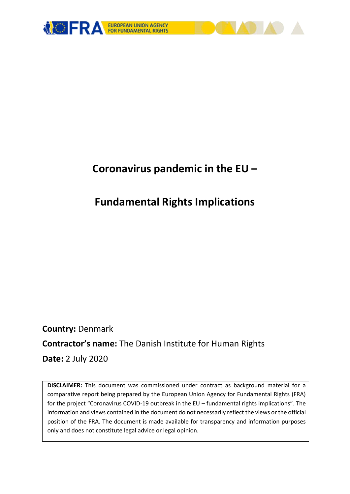

# **Coronavirus pandemic in the EU –**

# **Fundamental Rights Implications**

**Country:** Denmark **Contractor's name:** The Danish Institute for Human Rights **Date:** 2 July 2020

**DISCLAIMER:** This document was commissioned under contract as background material for a comparative report being prepared by the European Union Agency for Fundamental Rights (FRA) for the project "Coronavirus COVID-19 outbreak in the EU – fundamental rights implications". The information and views contained in the document do not necessarily reflect the views or the official position of the FRA. The document is made available for transparency and information purposes only and does not constitute legal advice or legal opinion.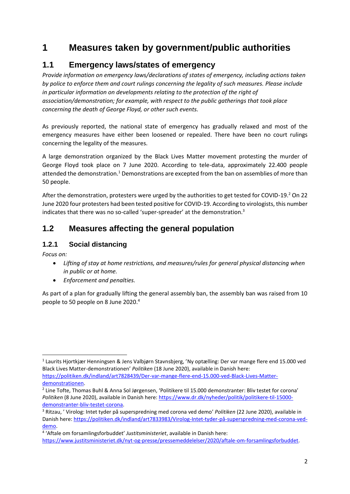# **1 Measures taken by government/public authorities**

# **1.1 Emergency laws/states of emergency**

*Provide information on emergency laws/declarations of states of emergency, including actions taken by police to enforce them and court rulings concerning the legality of such measures. Please include in particular information on developments relating to the protection of the right of association/demonstration; for example, with respect to the public gatherings that took place concerning the death of George Floyd, or other such events.*

As previously reported, the national state of emergency has gradually relaxed and most of the emergency measures have either been loosened or repealed. There have been no court rulings concerning the legality of the measures.

A large demonstration organized by the Black Lives Matter movement protesting the murder of George Floyd took place on 7 June 2020. According to tele-data, approximately 22.400 people attended the demonstration.<sup>1</sup> Demonstrations are excepted from the ban on assemblies of more than 50 people.

After the demonstration, protesters were urged by the authorities to get tested for COVID-19.<sup>2</sup> On 22 June 2020 four protesters had been tested positive for COVID-19. According to virologists, this number indicates that there was no so-called 'super-spreader' at the demonstration.<sup>3</sup>

# **1.2 Measures affecting the general population**

#### **1.2.1 Social distancing**

*Focus on:* 

**.** 

- *Lifting of stay at home restrictions, and measures/rules for general physical distancing when in public or at home.*
- *Enforcement and penalties.*

As part of a plan for gradually lifting the general assembly ban, the assembly ban was raised from 10 people to 50 people on 8 June 2020. 4

<sup>&</sup>lt;sup>1</sup> Laurits Hjortkjær Henningsen & Jens Valbjørn Stavnsbjerg, 'Ny optælling: Der var mange flere end 15.000 ved Black Lives Matter-demonstrationen' *Politiken* (18 June 2020), available in Danish here: [https://politiken.dk/indland/art7828439/Der-var-mange-flere-end-15.000-ved-Black-Lives-Matter](https://politiken.dk/indland/art7828439/Der-var-mange-flere-end-15.000-ved-Black-Lives-Matter-demonstrationen)[demonstrationen.](https://politiken.dk/indland/art7828439/Der-var-mange-flere-end-15.000-ved-Black-Lives-Matter-demonstrationen)

<sup>2</sup> Line Tofte, Thomas Buhl & Anna Sol Jørgensen, 'Politikere til 15.000 demonstranter: Bliv testet for corona' *Politiken* (8 June 2020), available in Danish here: [https://www.dr.dk/nyheder/politik/politikere-til-15000](https://www.dr.dk/nyheder/politik/politikere-til-15000-demonstranter-bliv-testet-corona) [demonstranter-bliv-testet-corona.](https://www.dr.dk/nyheder/politik/politikere-til-15000-demonstranter-bliv-testet-corona)

<sup>3</sup> Ritzau, ' Virolog: Intet tyder på superspredning med corona ved demo' *Politiken* (22 June 2020), available in Danish here[: https://politiken.dk/indland/art7833983/Virolog-Intet-tyder-på-superspredning-med-corona-ved](https://politiken.dk/indland/art7833983/Virolog-Intet-tyder-på-superspredning-med-corona-ved-demo)[demo.](https://politiken.dk/indland/art7833983/Virolog-Intet-tyder-på-superspredning-med-corona-ved-demo)

<sup>4</sup> 'Aftale om forsamlingsforbuddet' *Justitsministeriet*, available in Danish here: [https://www.justitsministeriet.dk/nyt-og-presse/pressemeddelelser/2020/aftale-om-forsamlingsforbuddet.](https://www.justitsministeriet.dk/nyt-og-presse/pressemeddelelser/2020/aftale-om-forsamlingsforbuddet)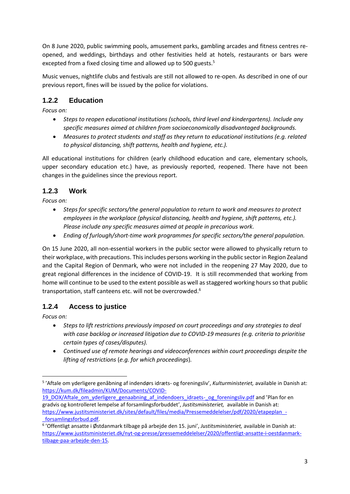On 8 June 2020, public swimming pools, amusement parks, gambling arcades and fitness centres reopened, and weddings, birthdays and other festivities held at hotels, restaurants or bars were excepted from a fixed closing time and allowed up to 500 guests.<sup>5</sup>

Music venues, nightlife clubs and festivals are still not allowed to re-open. As described in one of our previous report, fines will be issued by the police for violations.

### **1.2.2 Education**

*Focus on:*

- *Steps to reopen educational institutions (schools, third level and kindergartens). Include any specific measures aimed at children from socioeconomically disadvantaged backgrounds.*
- *Measures to protect students and staff as they return to educational institutions (e.g. related to physical distancing, shift patterns, health and hygiene, etc.).*

All educational institutions for children (early childhood education and care, elementary schools, upper secondary education etc.) have, as previously reported, reopened. There have not been changes in the guidelines since the previous report.

#### **1.2.3 Work**

*Focus on:* 

- *Steps for specific sectors/the general population to return to work and measures to protect employees in the workplace (physical distancing, health and hygiene, shift patterns, etc.). Please include any specific measures aimed at people in precarious work.*
- *Ending of furlough/short-time work programmes for specific sectors/the general population.*

On 15 June 2020, all non-essential workers in the public sector were allowed to physically return to their workplace, with precautions. This includes persons working in the public sector in Region Zealand and the Capital Region of Denmark, who were not included in the reopening 27 May 2020, due to great regional differences in the incidence of COVID-19. It is still recommended that working from home will continue to be used to the extent possible as well as staggered working hours so that public transportation, staff canteens etc. will not be overcrowded. 6

### **1.2.4 Access to justice**

*Focus on:* 

**.** 

- *Steps to lift restrictions previously imposed on court proceedings and any strategies to deal with case backlog or increased litigation due to COVID-19 measures (e.g. criteria to prioritise certain types of cases/disputes).*
- *Continued use of remote hearings and videoconferences within court proceedings despite the lifting of restrictions* (*e.g. for which proceedings*)*.*

<sup>5</sup> 'Aftale om yderligere genåbning af indendørs idræts- og foreningsliv', *Kulturministeriet,* available in Danish at: [https://kum.dk/fileadmin/KUM/Documents/COVID-](https://kum.dk/fileadmin/KUM/Documents/COVID-19_DOX/Aftale_om_yderligere_genaabning_af_indendoers_idraets-_og_foreningsliv.pdf)

[<sup>19</sup>\\_DOX/Aftale\\_om\\_yderligere\\_genaabning\\_af\\_indendoers\\_idraets-\\_og\\_foreningsliv.pdf](https://kum.dk/fileadmin/KUM/Documents/COVID-19_DOX/Aftale_om_yderligere_genaabning_af_indendoers_idraets-_og_foreningsliv.pdf) and 'Plan for en gradvis og kontrolleret lempelse af forsamlingsforbuddet', *Justitsministeriet,* available in Danish at: [https://www.justitsministeriet.dk/sites/default/files/media/Pressemeddelelser/pdf/2020/etapeplan\\_-](https://www.justitsministeriet.dk/sites/default/files/media/Pressemeddelelser/pdf/2020/etapeplan_-_forsamlingsforbud.pdf) [\\_forsamlingsforbud.pdf.](https://www.justitsministeriet.dk/sites/default/files/media/Pressemeddelelser/pdf/2020/etapeplan_-_forsamlingsforbud.pdf)

<sup>6</sup> 'Offentligt ansatte i Østdanmark tilbage på arbejde den 15. juni', *Justitsministeriet,* available in Danish at: [https://www.justitsministeriet.dk/nyt-og-presse/pressemeddelelser/2020/offentligt-ansatte-i-oestdanmark](https://www.justitsministeriet.dk/nyt-og-presse/pressemeddelelser/2020/offentligt-ansatte-i-oestdanmark-tilbage-paa-arbejde-den-15)[tilbage-paa-arbejde-den-15.](https://www.justitsministeriet.dk/nyt-og-presse/pressemeddelelser/2020/offentligt-ansatte-i-oestdanmark-tilbage-paa-arbejde-den-15)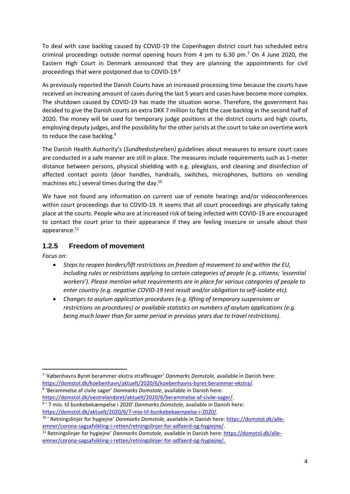To deal with case backlog caused by COVID-19 the Copenhagen district court has scheduled extra criminal proceedings outside normal opening hours from 4 pm to 6.30 pm.<sup>7</sup> On 4 June 2020, the Eastern High Court in Denmark announced that they are planning the appointments for civil proceedings that were postponed due to COVID-19.<sup>8</sup>

As previously reported the Danish Courts have an increased processing time because the courts have received an increasing amount of cases during the last 5 years and cases have become more complex. The shutdown caused by COVID-19 has made the situation worse. Therefore, the government has decided to give the Danish courts an extra DKK 7 million to fight the case backlog in the second half of 2020. The money will be used for temporary judge positions at the district courts and high courts, employing deputy judges, and the possibility for the other jurists at the court to take on overtime work to reduce the case backlog.<sup>9</sup>

The Danish Health Authority's (*Sundhedsstyrelsen)* guidelines about measures to ensure court cases are conducted in a safe manner are still in place. The measures include requirements such as 1-meter distance between persons, physical shielding with e.g. plexiglass, and cleaning and disinfection of affected contact points (door handles, handrails, switches, microphones, buttons on vending machines etc.) several times during the day. 10

We have not found any information on current use of remote hearings and/or videoconferences within court proceedings due to COVID-19. It seems that all court proceedings are physically taking place at the courts. People who are at increased risk of being infected with COVID-19 are encouraged to contact the court prior to their appearance if they are feeling insecure or unsafe about their appearance.<sup>11</sup>

#### **1.2.5 Freedom of movement**

*Focus on:* 

- *Steps to reopen borders/lift restrictions on freedom of movement to and within the EU, including rules or restrictions applying to certain categories of people (e.g. citizens; 'essential workers'). Please mention what requirements are in place for various categories of people to enter country (e.g. negative COVID-19 test result and/or obligation to self-isolate etc).*
- *Changes to asylum application procedures (*e.*g. lifting of temporary suspensions or restrictions on procedures) or available statistics on numbers of asylum applications (e.g. being much lower than for same period in previous years due to travel restrictions).*

8 'Berammelse af civile sager' *Danmarks Domstole*, available in Danish here: [https://domstol.dk/oestrelandsret/aktuelt/2020/6/berammelse-af-civile-sager/.](https://domstol.dk/oestrelandsret/aktuelt/2020/6/berammelse-af-civile-sager/)

<sup>1</sup> 7 'Københavns Byret berammer ekstra straffesager' *Danmarks Domstole,* available in Danish here: [https://domstol.dk/koebenhavn/aktuelt/2020/6/koebenhavns-byret-berammer-ekstra/.](https://domstol.dk/koebenhavn/aktuelt/2020/6/koebenhavns-byret-berammer-ekstra/)

<sup>9</sup> ' 7 mio. til bunkebekæmpelse i 2020' *Danmarks Domstole*, available in Danish here: [https://domstol.dk/aktuelt/2020/6/7-mio-til-bunkebekaempelse-i-2020/.](https://domstol.dk/aktuelt/2020/6/7-mio-til-bunkebekaempelse-i-2020/)

<sup>&</sup>lt;sup>10</sup>' Retningslinjer for hygiejne' *Danmarks Domstole,* available in Danish here: *[https://domstol.dk/alle](https://domstol.dk/alle-emner/corona-sagsafvikling-i-retten/retningslinjer-for-adfaerd-og-hygiejne/)*[emner/corona-sagsafvikling-i-retten/retningslinjer-for-adfaerd-og-hygiejne/.](https://domstol.dk/alle-emner/corona-sagsafvikling-i-retten/retningslinjer-for-adfaerd-og-hygiejne/)

<sup>11</sup> Retningslinjer for hygiejne' *Danmarks Domstole,* available in Danish here: [https://domstol.dk/alle](https://domstol.dk/alle-emner/corona-sagsafvikling-i-retten/retningslinjer-for-adfaerd-og-hygiejne/)[emner/corona-sagsafvikling-i-retten/retningslinjer-for-adfaerd-og-hygiejne/.](https://domstol.dk/alle-emner/corona-sagsafvikling-i-retten/retningslinjer-for-adfaerd-og-hygiejne/)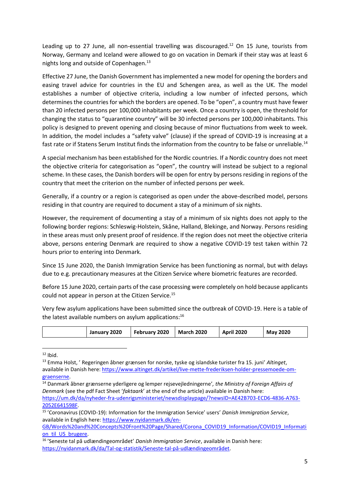Leading up to 27 June, all non-essential travelling was discouraged.<sup>12</sup> On 15 June, tourists from Norway, Germany and Iceland were allowed to go on vacation in Demark if their stay was at least 6 nights long and outside of Copenhagen.<sup>13</sup>

Effective 27 June, the Danish Government has implemented a new model for opening the borders and easing travel advice for countries in the EU and Schengen area, as well as the UK. The model establishes a number of objective criteria, including a low number of infected persons, which determines the countries for which the borders are opened. To be "open", a country must have fewer than 20 infected persons per 100,000 inhabitants per week. Once a country is open, the threshold for changing the status to "quarantine country" will be 30 infected persons per 100,000 inhabitants. This policy is designed to prevent opening and closing because of minor fluctuations from week to week. In addition, the model includes a "safety valve" (clause) if the spread of COVID-19 is increasing at a fast rate or if Statens Serum Institut finds the information from the country to be false or unreliable.<sup>14</sup>

A special mechanism has been established for the Nordic countries. If a Nordic country does not meet the objective criteria for categorisation as "open", the country will instead be subject to a regional scheme. In these cases, the Danish borders will be open for entry by persons residing in regions of the country that meet the criterion on the number of infected persons per week.

Generally, if a country or a region is categorised as open under the above-described model, persons residing in that country are required to document a stay of a minimum of six nights.

However, the requirement of documenting a stay of a minimum of six nights does not apply to the following border regions: Schleswig-Holstein, Skåne, Halland, Blekinge, and Norway. Persons residing in these areas must only present proof of residence. If the region does not meet the objective criteria above, persons entering Denmark are required to show a negative COVID-19 test taken within 72 hours prior to entering into Denmark.

Since 15 June 2020, the Danish Immigration Service has been functioning as normal, but with delays due to e.g. precautionary measures at the Citizen Service where biometric features are recorded.

Before 15 June 2020, certain parts of the case processing were completely on hold because applicants could not appear in person at the Citizen Service.<sup>15</sup>

Very few asylum applications have been submitted since the outbreak of COVID-19. Here is a table of the latest available numbers on asylum applications:<sup>16</sup>

|  | January 2020 | February 2020 | <b>March 2020</b> | <b>April 2020</b> | <b>May 2020</b> |
|--|--------------|---------------|-------------------|-------------------|-----------------|
|--|--------------|---------------|-------------------|-------------------|-----------------|

 $12$  Ibid.

**.** 

<sup>13</sup> Emma Holst, ' Regeringen åbner grænsen for norske, tyske og islandske turister fra 15. juni' *Altinget*, available in Danish here[: https://www.altinget.dk/artikel/live-mette-frederiksen-holder-pressemoede-om](https://www.altinget.dk/artikel/live-mette-frederiksen-holder-pressemoede-om-graenserne)[graenserne.](https://www.altinget.dk/artikel/live-mette-frederiksen-holder-pressemoede-om-graenserne)

<sup>14</sup> Danmark åbner grænserne yderligere og lemper rejsevejledningerne'*, the Ministry of Foreign Affairs of Denmark* (see the pdf Fact Sheet '*faktaark*' at the end of the article) available in Danish here:

[https://um.dk/da/nyheder-fra-udenrigsministeriet/newsdisplaypage/?newsID=AE42B703-ECD6-4836-A763-](https://um.dk/da/nyheder-fra-udenrigsministeriet/newsdisplaypage/?newsID=AE42B703-ECD6-4836-A763-2052E641598F) [2052E641598F.](https://um.dk/da/nyheder-fra-udenrigsministeriet/newsdisplaypage/?newsID=AE42B703-ECD6-4836-A763-2052E641598F)

<sup>15</sup> 'Coronavirus (COVID-19): Information for the Immigration Service' users' *Danish Immigration Service*, available in English here[: https://www.nyidanmark.dk/en-](https://www.nyidanmark.dk/en-GB/Words%20and%20Concepts%20Front%20Page/Shared/Corona_COVID19_Information/COVID19_Information_til_US_brugere)

[GB/Words%20and%20Concepts%20Front%20Page/Shared/Corona\\_COVID19\\_Information/COVID19\\_Informati](https://www.nyidanmark.dk/en-GB/Words%20and%20Concepts%20Front%20Page/Shared/Corona_COVID19_Information/COVID19_Information_til_US_brugere) on til US brugere.

<sup>16</sup> 'Seneste tal på udlændingeområdet' *Danish Immigration Service*, available in Danish here: [https://nyidanmark.dk/da/Tal-og-statistik/Seneste-tal-på-udlændingeområdet.](https://nyidanmark.dk/da/Tal-og-statistik/Seneste-tal-på-udlændingeområdet)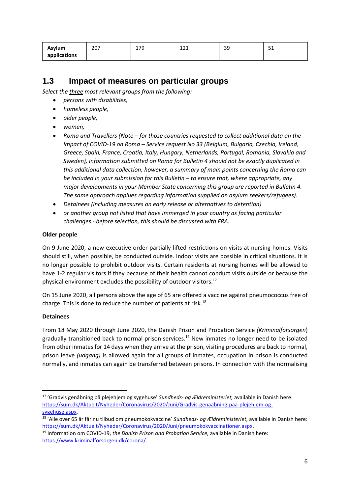| Asylum       | 207 | 0 ה<br>ᅩノン<br>-- | 12<br>ᆂᄼᆂ<br>--- | n c<br>-- | <b>CA</b><br>ັ |
|--------------|-----|------------------|------------------|-----------|----------------|
| applications |     |                  |                  |           |                |

### **1.3 Impact of measures on particular groups**

*Select the three most relevant groups from the following:* 

- *persons with disabilities,*
- *homeless people,*
- *older people,*
- *women,*
- *Roma and Travellers (Note – for those countries requested to collect additional data on the impact of COVID-19 on Roma – Service request No 33 (Belgium, Bulgaria, Czechia, Ireland, Greece, Spain, France, Croatia, Italy, Hungary, Netherlands, Portugal, Romania, Slovakia and Sweden), information submitted on Roma for Bulletin 4 should not be exactly duplicated in this additional data collection; however, a summary of main points concerning the Roma can be included in your submission for this Bulletin – to ensure that, where appropriate, any major developments in your Member State concerning this group are reported in Bulletin 4. The same approach applues regarding information supplied on asylum seekers/refugees).*
- *Detainees (including measures on early release or alternatives to detention)*
- *or another group not listed that have immerged in your country as facing particular challenges - before selection, this should be discussed with FRA.*

#### **Older people**

On 9 June 2020, a new executive order partially lifted restrictions on visits at nursing homes. Visits should still, when possible, be conducted outside. Indoor visits are possible in critical situations. It is no longer possible to prohibit outdoor visits. Certain residents at nursing homes will be allowed to have 1-2 regular visitors if they because of their health cannot conduct visits outside or because the physical environment excludes the possibility of outdoor visitors.<sup>17</sup>

On 15 June 2020, all persons above the age of 65 are offered a vaccine against pneumococcus free of charge. This is done to reduce the number of patients at risk.<sup>18</sup>

#### **Detainees**

**.** 

From 18 May 2020 through June 2020, the Danish Prison and Probation Service *(Kriminalforsorgen*) gradually transitioned back to normal prison services.<sup>19</sup> New inmates no longer need to be isolated from other inmates for 14 days when they arrive at the prison, visiting procedures are back to normal, prison leave *(udgang)* is allowed again for all groups of inmates, occupation in prison is conducted normally, and inmates can again be transferred between prisons. In connection with the normalising

<sup>18</sup> 'Alle over 65 år får nu tilbud om pneumokokvaccine' *Sundheds- og Ældreministeriet,* available in Danish here: [https://sum.dk/Aktuelt/Nyheder/Coronavirus/2020/Juni/pneumokokvaccinationer.aspx.](https://sum.dk/Aktuelt/Nyheder/Coronavirus/2020/Juni/pneumokokvaccinationer.aspx)

<sup>17</sup> 'Gradvis genåbning på plejehjem og sygehuse' *Sundheds- og Ældreministeriet,* available in Danish here: [https://sum.dk/Aktuelt/Nyheder/Coronavirus/2020/Juni/Gradvis-genaabning-paa-plejehjem-og](https://sum.dk/Aktuelt/Nyheder/Coronavirus/2020/Juni/Gradvis-genaabning-paa-plejehjem-og-sygehuse.aspx)[sygehuse.aspx.](https://sum.dk/Aktuelt/Nyheder/Coronavirus/2020/Juni/Gradvis-genaabning-paa-plejehjem-og-sygehuse.aspx)

<sup>19</sup> Information om COVID-19, *the Danish Prison and Probation Service,* available in Danish here: [https://www.kriminalforsorgen.dk/corona/.](https://www.kriminalforsorgen.dk/corona/)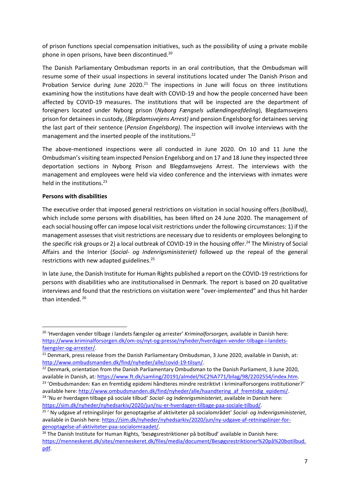of prison functions special compensation initiatives, such as the possibility of using a private mobile phone in open prisons, have been discontinued.<sup>20</sup>

The Danish Parliamentary Ombudsman reports in an oral contribution, that the Ombudsman will resume some of their usual inspections in several institutions located under The Danish Prison and Probation Service during June  $2020$ .<sup>21</sup> The inspections in June will focus on three institutions examining how the institutions have dealt with COVID-19 and how the people concerned have been affected by COVID-19 measures. The institutions that will be inspected are the department of foreigners located under Nyborg prison (*Nyborg Fængsels udlændingeafdeling*), Blegdamsvejens prison for detainees in custody, (*Blegdamsvejens Arrest)* and pension Engelsborg for detainees serving the last part of their sentence (*Pension Engelsborg)*. The inspection will involve interviews with the management and the inserted people of the institutions.<sup>22</sup>

The above-mentioned inspections were all conducted in June 2020. On 10 and 11 June the Ombudsman's visiting team inspected Pension Engelsborg and on 17 and 18 June they inspected three deportation sections in Nyborg Prison and Blegdamsvejens Arrest. The interviews with the management and employees were held via video conference and the interviews with inmates were held in the institutions.<sup>23</sup>

#### **Persons with disabilities**

1

The executive order that imposed general restrictions on visitation in social housing offers *(botilbud)*, which include some persons with disabilities, has been lifted on 24 June 2020. The management of each social housing offer can impose local visit restrictions under the following circumstances: 1) if the management assesses that visit restrictions are necessary due to residents or employees belonging to the specific risk groups or 2) a local outbreak of COVID-19 in the housing offer.<sup>24</sup> The Ministry of Social Affairs and the Interior (*Social- og Indenrigsministeriet)* followed up the repeal of the general restrictions with new adapted guidelines.<sup>25</sup>

In late June, the Danish Institute for Human Rights published a report on the COVID-19 restrictions for persons with disabilities who are institutionalised in Denmark. The report is based on 20 qualitative interviews and found that the restrictions on visitation were "over-implemented" and thus hit harder than intended. <sup>26</sup>

<sup>20</sup> 'Hverdagen vender tilbage i landets fængsler og arrester' *Kriminalforsorgen,* available in Danish here: [https://www.kriminalforsorgen.dk/om-os/nyt-og-presse/nyheder/hverdagen-vender-tilbage-i-landets](https://www.kriminalforsorgen.dk/om-os/nyt-og-presse/nyheder/hverdagen-vender-tilbage-i-landets-faengsler-og-arrester/)[faengsler-og-arrester/.](https://www.kriminalforsorgen.dk/om-os/nyt-og-presse/nyheder/hverdagen-vender-tilbage-i-landets-faengsler-og-arrester/)

<sup>&</sup>lt;sup>21</sup> Denmark, press release from the Danish Parliamentary Ombudsman, 3 June 2020, available in Danish, at: [http://www.ombudsmanden.dk/find/nyheder/alle/covid-19-tilsyn/.](http://www.ombudsmanden.dk/find/nyheder/alle/covid-19-tilsyn/)

<sup>&</sup>lt;sup>22</sup> Denmark, orientation from the Danish Parliamentary Ombudsman to the Danish Parliament, 3 June 2020, available in Danish, at[: https://www.ft.dk/samling/20191/almdel/%C2%A771/bilag/98/2202554/index.htm.](https://www.ft.dk/samling/20191/almdel/%C2%A771/bilag/98/2202554/index.htm)

<sup>&</sup>lt;sup>23</sup> 'Ombudsmanden: Kan en fremtidig epidemi håndteres mindre restriktivt i kriminalforsorgens institutioner?' available here: [http://www.ombudsmanden.dk/find/nyheder/alle/haandtering\\_af\\_fremtidig\\_epidemi/.](http://www.ombudsmanden.dk/find/nyheder/alle/haandtering_af_fremtidig_epidemi/)

<sup>24</sup> 'Nu er hverdagen tilbage på sociale tilbud' *Social- og Indenrigsministeriet*, available in Danish here: [https://sim.dk/nyheder/nyhedsarkiv/2020/jun/nu-er-hverdagen-tilbage-paa-sociale-tilbud/.](https://sim.dk/nyheder/nyhedsarkiv/2020/jun/nu-er-hverdagen-tilbage-paa-sociale-tilbud/)

<sup>25</sup> ' Ny udgave af retningslinjer for genoptagelse af aktiviteter på socialområdet' *Social- og Indenrigsministeriet*, available in Danish here[: https://sim.dk/nyheder/nyhedsarkiv/2020/jun/ny-udgave-af-retningslinjer-for](https://sim.dk/nyheder/nyhedsarkiv/2020/jun/ny-udgave-af-retningslinjer-for-genoptagelse-af-aktiviteter-paa-socialomraadet/)[genoptagelse-af-aktiviteter-paa-socialomraadet/.](https://sim.dk/nyheder/nyhedsarkiv/2020/jun/ny-udgave-af-retningslinjer-for-genoptagelse-af-aktiviteter-paa-socialomraadet/)

<sup>&</sup>lt;sup>26</sup> The Danish Institute for Human Rights, 'besøgsrestriktioner på botilbud' available in Danish here: [https://menneskeret.dk/sites/menneskeret.dk/files/media/document/Besøgsrestriktioner%20på%20botilbud.](https://menneskeret.dk/sites/menneskeret.dk/files/media/document/Besøgsrestriktioner%20på%20botilbud.pdf) [pdf.](https://menneskeret.dk/sites/menneskeret.dk/files/media/document/Besøgsrestriktioner%20på%20botilbud.pdf)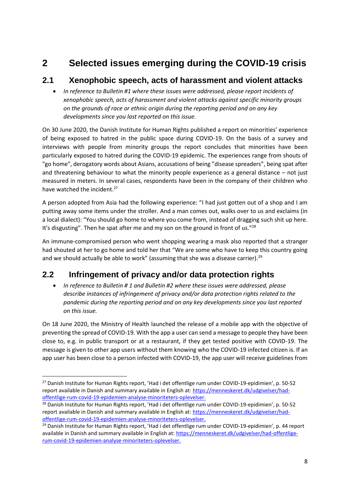# **2 Selected issues emerging during the COVID-19 crisis**

## **2.1 Xenophobic speech, acts of harassment and violent attacks**

 *In reference to Bulletin #1 where these issues were addressed, please report incidents of xenophobic speech, acts of harassment and violent attacks against specific minority groups on the grounds of race or ethnic origin during the reporting period and on any key developments since you last reported on this issue.*

On 30 June 2020, the Danish Institute for Human Rights published a report on minorities' experience of being exposed to hatred in the public space during COVID-19. On the basis of a survey and interviews with people from minority groups the report concludes that minorities have been particularly exposed to hatred during the COVID-19 epidemic. The experiences range from shouts of "go home", derogatory words about Asians, accusations of being "disease spreaders", being spat after and threatening behaviour to what the minority people experience as a general distance – not just measured in meters. In several cases, respondents have been in the company of their children who have watched the incident.<sup>27</sup>

A person adopted from Asia had the following experience: "I had just gotten out of a shop and I am putting away some items under the stroller. And a man comes out, walks over to us and exclaims (in a local dialect): "You should go home to where you come from, instead of dragging such shit up here. It's disgusting". Then he spat after me and my son on the ground in front of us."<sup>28</sup>

An immune-compromised person who went shopping wearing a mask also reported that a stranger had shouted at her to go home and told her that "We are some who have to keep this country going and we should actually be able to work" (assuming that she was a disease carrier).<sup>29</sup>

# **2.2 Infringement of privacy and/or data protection rights**

 *In reference to Bulletin # 1 and Bulletin #2 where these issues were addressed, please describe instances of infringement of privacy and/or data protection rights related to the pandemic during the reporting period and on any key developments since you last reported on this issue.*

On 18 June 2020, the Ministry of Health launched the release of a mobile app with the objective of preventing the spread of COVID-19. With the app a user can send a message to people they have been close to, e.g. in public transport or at a restaurant, if they get tested positive with COVID-19. The message is given to other app users without them knowing who the COVID-19 infected citizen is. If an app user has been close to a person infected with COVID-19, the app user will receive guidelines from

**.** 

<sup>&</sup>lt;sup>27</sup> Danish Institute for Human Rights report, 'Had i det offentlige rum under COVID-19-epidimien', p. 50-52 report available in Danish and summary available in English at: [https://menneskeret.dk/udgivelser/had](https://menneskeret.dk/udgivelser/had-offentlige-rum-covid-19-epidemien-analyse-minoriteters-oplevelser)[offentlige-rum-covid-19-epidemien-analyse-minoriteters-oplevelser.](https://menneskeret.dk/udgivelser/had-offentlige-rum-covid-19-epidemien-analyse-minoriteters-oplevelser)

<sup>&</sup>lt;sup>28</sup> Danish Institute for Human Rights report, 'Had i det offentlige rum under COVID-19-epidimien', p. 50-52 report available in Danish and summary available in English at: [https://menneskeret.dk/udgivelser/had](https://menneskeret.dk/udgivelser/had-offentlige-rum-covid-19-epidemien-analyse-minoriteters-oplevelser)[offentlige-rum-covid-19-epidemien-analyse-minoriteters-oplevelser.](https://menneskeret.dk/udgivelser/had-offentlige-rum-covid-19-epidemien-analyse-minoriteters-oplevelser)

<sup>&</sup>lt;sup>29</sup> Danish Institute for Human Rights report, 'Had i det offentlige rum under COVID-19-epidimien', p. 44 report available in Danish and summary available in English at: [https://menneskeret.dk/udgivelser/had-offentlige](https://menneskeret.dk/udgivelser/had-offentlige-rum-covid-19-epidemien-analyse-minoriteters-oplevelser)[rum-covid-19-epidemien-analyse-minoriteters-oplevelser.](https://menneskeret.dk/udgivelser/had-offentlige-rum-covid-19-epidemien-analyse-minoriteters-oplevelser)